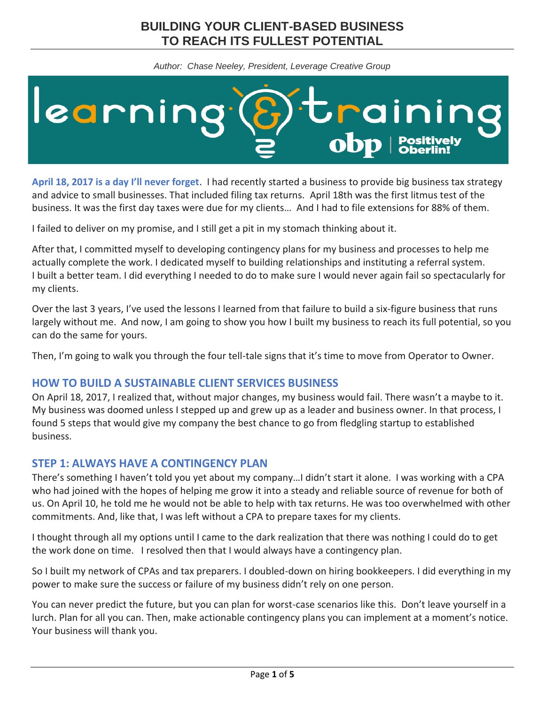# **BUILDING YOUR CLIENT-BASED BUSINESS TO REACH ITS FULLEST POTENTIAL**

*Author: Chase Neeley, President, Leverage Creative Group*



**April 18, 2017 is a day I'll never forget**. I had recently started a business to provide big business tax strategy and advice to small businesses. That included filing tax returns. April 18th was the first litmus test of the business. It was the first day taxes were due for my clients… And I had to file extensions for 88% of them.

I failed to deliver on my promise, and I still get a pit in my stomach thinking about it.

After that, I committed myself to developing contingency plans for my business and processes to help me actually complete the work. I dedicated myself to building relationships and instituting a referral system. I built a better team. I did everything I needed to do to make sure I would never again fail so spectacularly for my clients.

Over the last 3 years, I've used the lessons I learned from that failure to build a six-figure business that runs largely without me. And now, I am going to show you how I built my business to reach its full potential, so you can do the same for yours.

Then, I'm going to walk you through the four tell-tale signs that it's time to move from Operator to Owner.

# **HOW TO BUILD A SUSTAINABLE CLIENT SERVICES BUSINESS**

On April 18, 2017, I realized that, without major changes, my business would fail. There wasn't a maybe to it. My business was doomed unless I stepped up and grew up as a leader and business owner. In that process, I found 5 steps that would give my company the best chance to go from fledgling startup to established business.

# **STEP 1: ALWAYS HAVE A CONTINGENCY PLAN**

There's something I haven't told you yet about my company…I didn't start it alone. I was working with a CPA who had joined with the hopes of helping me grow it into a steady and reliable source of revenue for both of us. On April 10, he told me he would not be able to help with tax returns. He was too overwhelmed with other commitments. And, like that, I was left without a CPA to prepare taxes for my clients.

I thought through all my options until I came to the dark realization that there was nothing I could do to get the work done on time. I resolved then that I would always have a contingency plan.

So I built my network of CPAs and tax preparers. I doubled-down on hiring bookkeepers. I did everything in my power to make sure the success or failure of my business didn't rely on one person.

You can never predict the future, but you can plan for worst-case scenarios like this. Don't leave yourself in a lurch. Plan for all you can. Then, make actionable contingency plans you can implement at a moment's notice. Your business will thank you.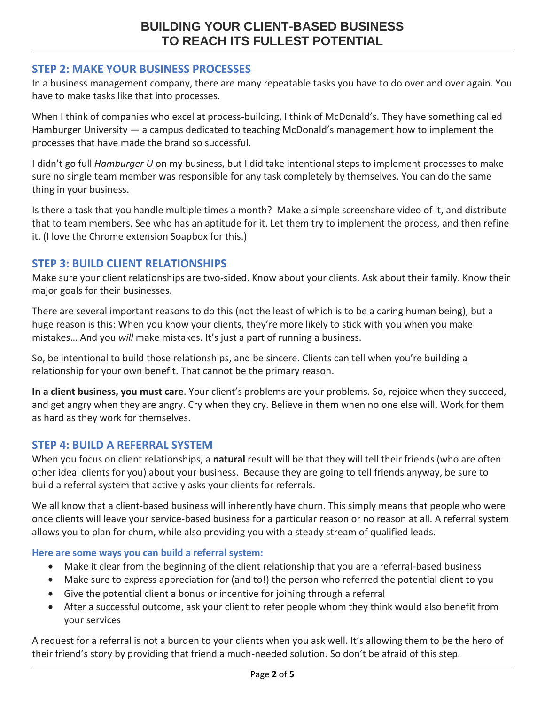# **STEP 2: MAKE YOUR BUSINESS PROCESSES**

In a business management company, there are many repeatable tasks you have to do over and over again. You have to make tasks like that into processes.

When I think of companies who excel at process-building, I think of McDonald's. They have something called Hamburger University — a campus dedicated to teaching McDonald's management how to implement the processes that have made the brand so successful.

I didn't go full *Hamburger U* on my business, but I did take intentional steps to implement processes to make sure no single team member was responsible for any task completely by themselves. You can do the same thing in your business.

Is there a task that you handle multiple times a month? Make a simple screenshare video of it, and distribute that to team members. See who has an aptitude for it. Let them try to implement the process, and then refine it. (I love the Chrome extension Soapbox for this.)

## **STEP 3: BUILD CLIENT RELATIONSHIPS**

Make sure your client relationships are two-sided. Know about your clients. Ask about their family. Know their major goals for their businesses.

There are several important reasons to do this (not the least of which is to be a caring human being), but a huge reason is this: When you know your clients, they're more likely to stick with you when you make mistakes… And you *will* make mistakes. It's just a part of running a business.

So, be intentional to build those relationships, and be sincere. Clients can tell when you're building a relationship for your own benefit. That cannot be the primary reason.

**In a client business, you must care**. Your client's problems are your problems. So, rejoice when they succeed, and get angry when they are angry. Cry when they cry. Believe in them when no one else will. Work for them as hard as they work for themselves.

## **STEP 4: BUILD A REFERRAL SYSTEM**

When you focus on client relationships, a **natural** result will be that they will tell their friends (who are often other ideal clients for you) about your business. Because they are going to tell friends anyway, be sure to build a referral system that actively asks your clients for referrals.

We all know that a client-based business will inherently have churn. This simply means that people who were once clients will leave your service-based business for a particular reason or no reason at all. A referral system allows you to plan for churn, while also providing you with a steady stream of qualified leads.

#### **Here are some ways you can build a referral system:**

- Make it clear from the beginning of the client relationship that you are a referral-based business
- Make sure to express appreciation for (and to!) the person who referred the potential client to you
- Give the potential client a bonus or incentive for joining through a referral
- After a successful outcome, ask your client to refer people whom they think would also benefit from your services

A request for a referral is not a burden to your clients when you ask well. It's allowing them to be the hero of their friend's story by providing that friend a much-needed solution. So don't be afraid of this step.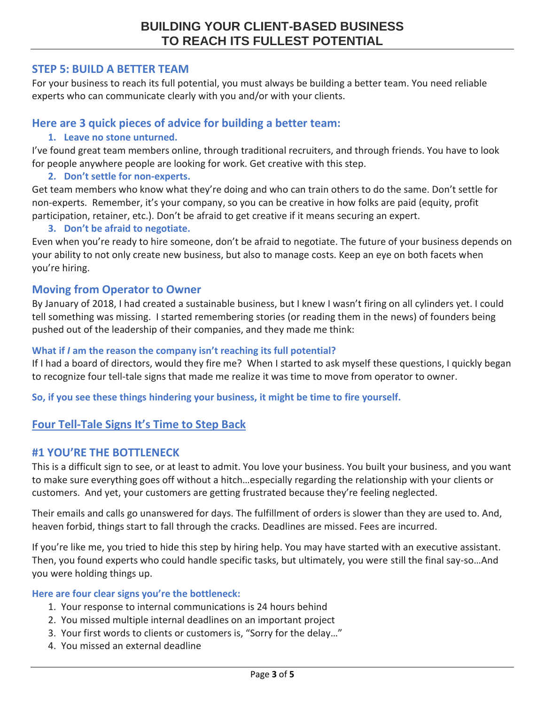## **STEP 5: BUILD A BETTER TEAM**

For your business to reach its full potential, you must always be building a better team. You need reliable experts who can communicate clearly with you and/or with your clients.

## **Here are 3 quick pieces of advice for building a better team:**

### **1. Leave no stone unturned.**

I've found great team members online, through traditional recruiters, and through friends. You have to look for people anywhere people are looking for work. Get creative with this step.

#### **2. Don't settle for non-experts.**

Get team members who know what they're doing and who can train others to do the same. Don't settle for non-experts. Remember, it's your company, so you can be creative in how folks are paid (equity, profit participation, retainer, etc.). Don't be afraid to get creative if it means securing an expert.

#### **3. Don't be afraid to negotiate.**

Even when you're ready to hire someone, don't be afraid to negotiate. The future of your business depends on your ability to not only create new business, but also to manage costs. Keep an eye on both facets when you're hiring.

## **Moving from Operator to Owner**

By January of 2018, I had created a sustainable business, but I knew I wasn't firing on all cylinders yet. I could tell something was missing. I started remembering stories (or reading them in the news) of founders being pushed out of the leadership of their companies, and they made me think:

#### **What if** *I* **am the reason the company isn't reaching its full potential?**

If I had a board of directors, would they fire me? When I started to ask myself these questions, I quickly began to recognize four tell-tale signs that made me realize it was time to move from operator to owner.

**So, if you see these things hindering your business, it might be time to fire yourself.**

# **Four Tell-Tale Signs It's Time to Step Back**

## **#1 YOU'RE THE BOTTLENECK**

This is a difficult sign to see, or at least to admit. You love your business. You built your business, and you want to make sure everything goes off without a hitch…especially regarding the relationship with your clients or customers. And yet, your customers are getting frustrated because they're feeling neglected.

Their emails and calls go unanswered for days. The fulfillment of orders is slower than they are used to. And, heaven forbid, things start to fall through the cracks. Deadlines are missed. Fees are incurred.

If you're like me, you tried to hide this step by hiring help. You may have started with an executive assistant. Then, you found experts who could handle specific tasks, but ultimately, you were still the final say-so…And you were holding things up.

#### **Here are four clear signs you're the bottleneck:**

- 1. Your response to internal communications is 24 hours behind
- 2. You missed multiple internal deadlines on an important project
- 3. Your first words to clients or customers is, "Sorry for the delay…"
- 4. You missed an external deadline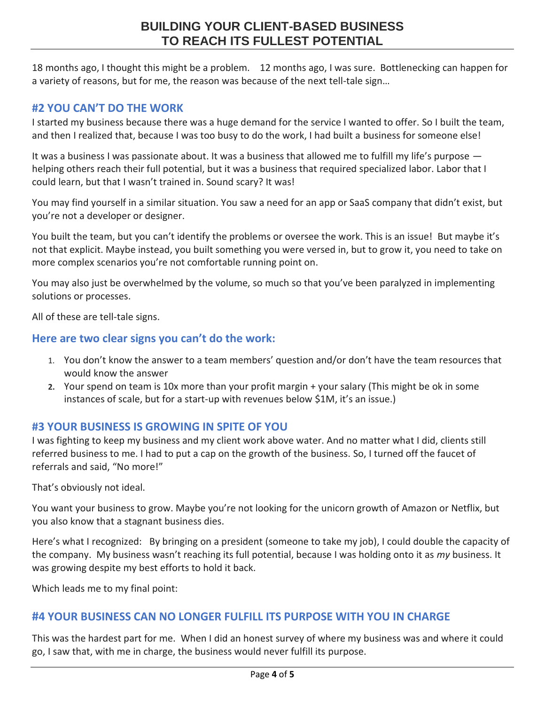# **BUILDING YOUR CLIENT-BASED BUSINESS TO REACH ITS FULLEST POTENTIAL**

18 months ago, I thought this might be a problem. 12 months ago, I was sure. Bottlenecking can happen for a variety of reasons, but for me, the reason was because of the next tell-tale sign…

## **#2 YOU CAN'T DO THE WORK**

I started my business because there was a huge demand for the service I wanted to offer. So I built the team, and then I realized that, because I was too busy to do the work, I had built a business for someone else!

It was a business I was passionate about. It was a business that allowed me to fulfill my life's purpose helping others reach their full potential, but it was a business that required specialized labor. Labor that I could learn, but that I wasn't trained in. Sound scary? It was!

You may find yourself in a similar situation. You saw a need for an app or SaaS company that didn't exist, but you're not a developer or designer.

You built the team, but you can't identify the problems or oversee the work. This is an issue! But maybe it's not that explicit. Maybe instead, you built something you were versed in, but to grow it, you need to take on more complex scenarios you're not comfortable running point on.

You may also just be overwhelmed by the volume, so much so that you've been paralyzed in implementing solutions or processes.

All of these are tell-tale signs.

## **Here are two clear signs you can't do the work:**

- 1. You don't know the answer to a team members' question and/or don't have the team resources that would know the answer
- **2.** Your spend on team is 10x more than your profit margin + your salary (This might be ok in some instances of scale, but for a start-up with revenues below \$1M, it's an issue.)

## **#3 YOUR BUSINESS IS GROWING IN SPITE OF YOU**

I was fighting to keep my business and my client work above water. And no matter what I did, clients still referred business to me. I had to put a cap on the growth of the business. So, I turned off the faucet of referrals and said, "No more!"

That's obviously not ideal.

You want your business to grow. Maybe you're not looking for the unicorn growth of Amazon or Netflix, but you also know that a stagnant business dies.

Here's what I recognized: By bringing on a president (someone to take my job), I could double the capacity of the company. My business wasn't reaching its full potential, because I was holding onto it as *my* business. It was growing despite my best efforts to hold it back.

Which leads me to my final point:

## **#4 YOUR BUSINESS CAN NO LONGER FULFILL ITS PURPOSE WITH YOU IN CHARGE**

This was the hardest part for me. When I did an honest survey of where my business was and where it could go, I saw that, with me in charge, the business would never fulfill its purpose.